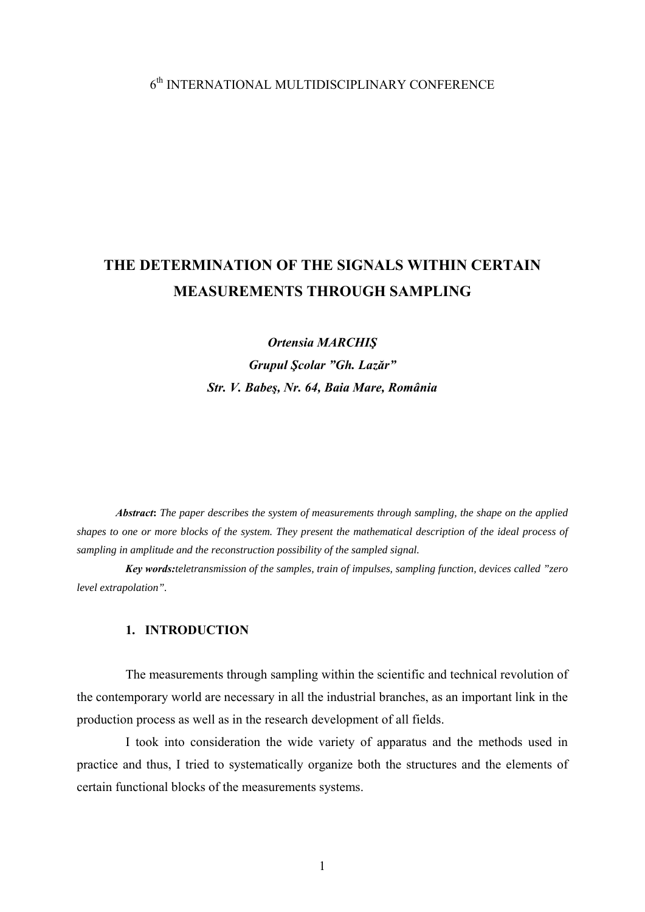## 6th INTERNATIONAL MULTIDISCIPLINARY CONFERENCE

# **THE DETERMINATION OF THE SIGNALS WITHIN CERTAIN MEASUREMENTS THROUGH SAMPLING**

*Ortensia MARCHIŞ Grupul Şcolar "Gh. Lazăr" Str. V. Babeş, Nr. 64, Baia Mare, România* 

*Abstract***:** *The paper describes the system of measurements through sampling, the shape on the applied shapes to one or more blocks of the system. They present the mathematical description of the ideal process of sampling in amplitude and the reconstruction possibility of the sampled signal.* 

*Key words:teletransmission of the samples, train of impulses, sampling function, devices called "zero level extrapolation".*

### **1. INTRODUCTION**

The measurements through sampling within the scientific and technical revolution of the contemporary world are necessary in all the industrial branches, as an important link in the production process as well as in the research development of all fields.

I took into consideration the wide variety of apparatus and the methods used in practice and thus, I tried to systematically organize both the structures and the elements of certain functional blocks of the measurements systems.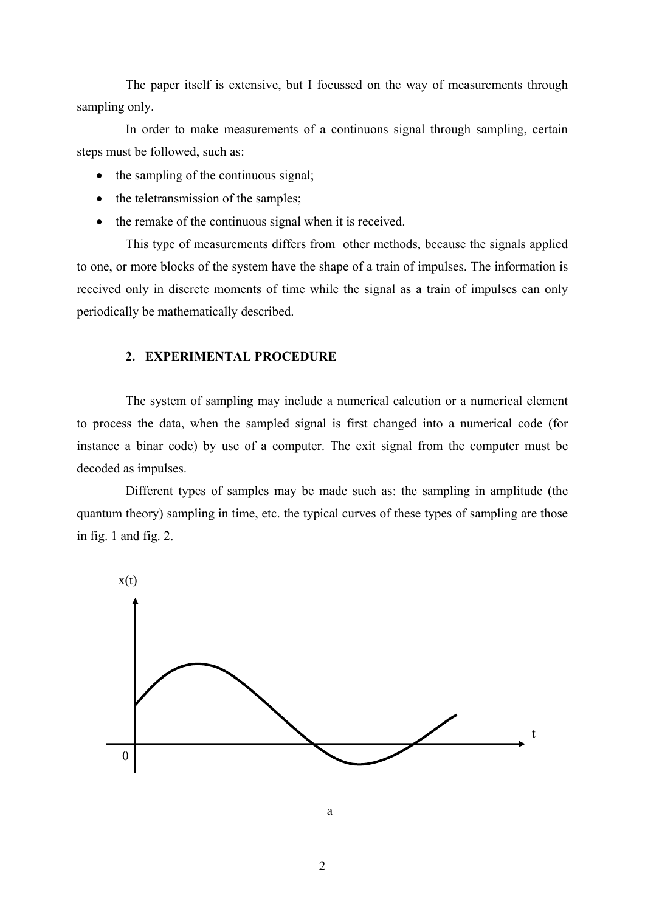The paper itself is extensive, but I focussed on the way of measurements through sampling only.

In order to make measurements of a continuons signal through sampling, certain steps must be followed, such as:

- the sampling of the continuous signal;
- the teletransmission of the samples;
- the remake of the continuous signal when it is received.

This type of measurements differs from other methods, because the signals applied to one, or more blocks of the system have the shape of a train of impulses. The information is received only in discrete moments of time while the signal as a train of impulses can only periodically be mathematically described.

#### **2. EXPERIMENTAL PROCEDURE**

The system of sampling may include a numerical calcution or a numerical element to process the data, when the sampled signal is first changed into a numerical code (for instance a binar code) by use of a computer. The exit signal from the computer must be decoded as impulses.

Different types of samples may be made such as: the sampling in amplitude (the quantum theory) sampling in time, etc. the typical curves of these types of sampling are those in fig. 1 and fig. 2.



**a a a a a**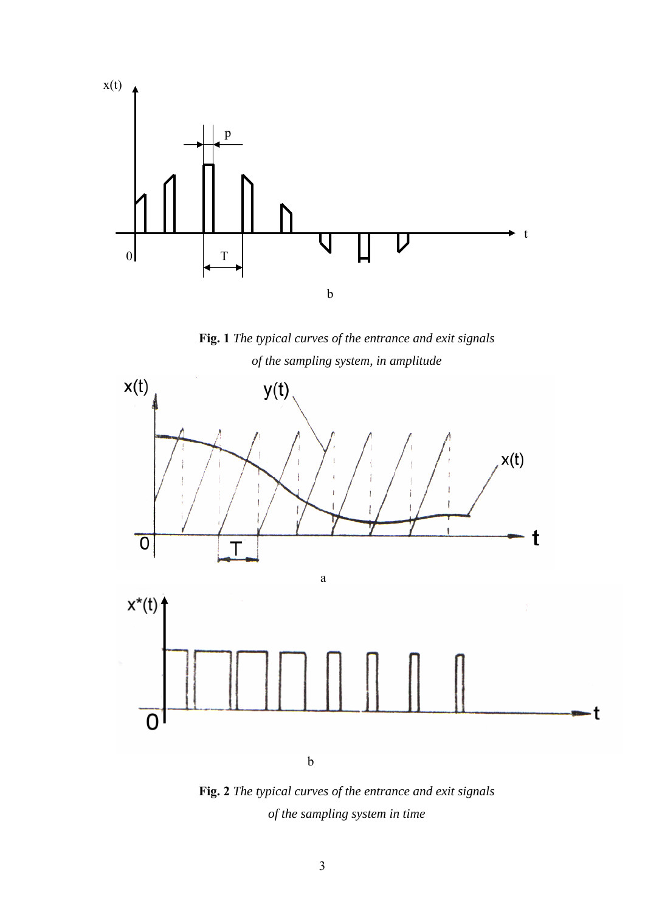

**Fig. 1** *The typical curves of the entrance and exit signals of the sampling system, in amplitude* 



**Fig. 2** *The typical curves of the entrance and exit signals of the sampling system in time*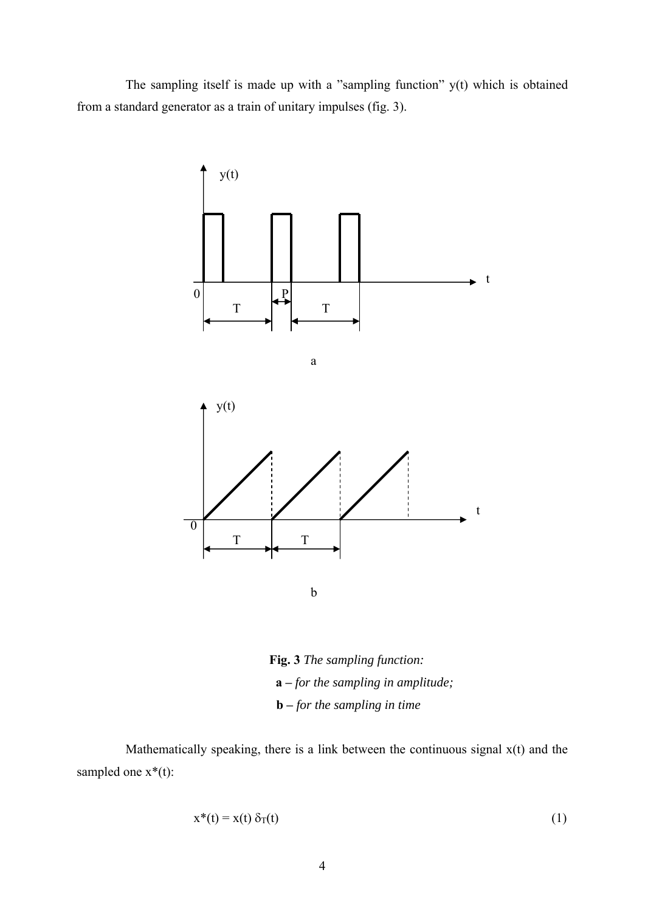The sampling itself is made up with a "sampling function" y(t) which is obtained from a standard generator as a train of unitary impulses (fig. 3).



**Fig. 3** *The sampling function:*   **a –** *for the sampling in amplitude;*   **b –** *for the sampling in time*

Mathematically speaking, there is a link between the continuous signal  $x(t)$  and the sampled one  $x^*(t)$ :

$$
x^*(t) = x(t) \delta_T(t) \tag{1}
$$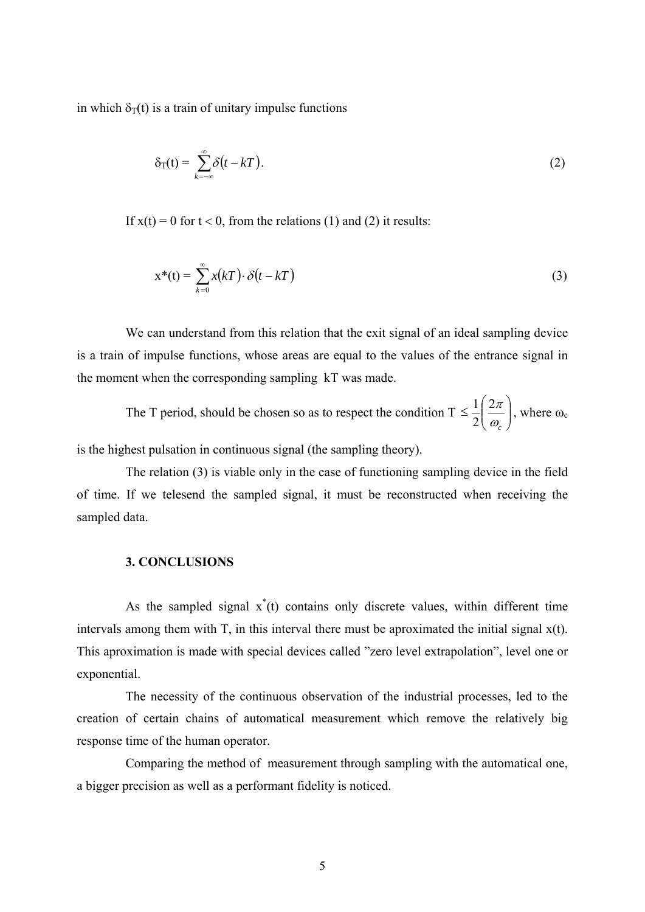in which  $\delta_T(t)$  is a train of unitary impulse functions

$$
\delta_{\mathrm{T}}(t) = \sum_{k=-\infty}^{\infty} \delta(t - kT). \tag{2}
$$

If  $x(t) = 0$  for  $t < 0$ , from the relations (1) and (2) it results:

$$
x^*(t) = \sum_{k=0}^{\infty} x(kT) \cdot \delta(t - kT)
$$
\n(3)

We can understand from this relation that the exit signal of an ideal sampling device is a train of impulse functions, whose areas are equal to the values of the entrance signal in the moment when the corresponding sampling kT was made.

The T period, should be chosen so as to respect the condition  $T \leq \frac{1}{2} \left| \frac{2\pi}{\omega} \right|$ ⎠ ⎞  $\Big\}$ ⎝  $\big($ ≤ <sup>ω</sup>*c*  $2\pi$ 2  $\frac{1}{2} \left( \frac{2\pi}{2} \right)$ , where  $\omega_c$ 

is the highest pulsation in continuous signal (the sampling theory).

The relation (3) is viable only in the case of functioning sampling device in the field of time. If we telesend the sampled signal, it must be reconstructed when receiving the sampled data.

#### **3. CONCLUSIONS**

As the sampled signal  $x^*(t)$  contains only discrete values, within different time intervals among them with T, in this interval there must be aproximated the initial signal x(t). This aproximation is made with special devices called "zero level extrapolation", level one or exponential.

The necessity of the continuous observation of the industrial processes, led to the creation of certain chains of automatical measurement which remove the relatively big response time of the human operator.

Comparing the method of measurement through sampling with the automatical one, a bigger precision as well as a performant fidelity is noticed.